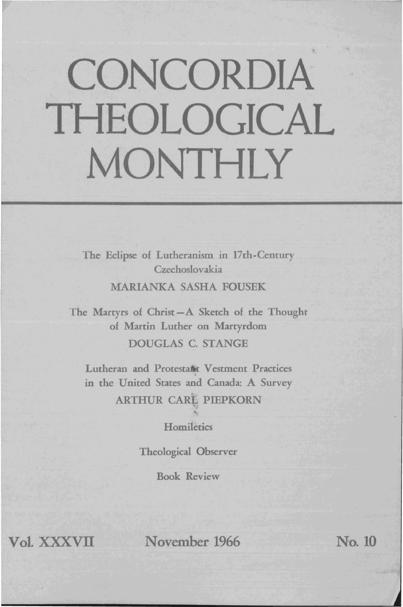## **CONCORDIA THEOLOGICAL MONTHLY**

The Eclipse of Lutheranism in 17th-Century Czechoslovakia

MARIANKA SASHA FOUSEK

The Martyrs of Christ-A Sketch of the Thought of Martin Luther on Martyrdom DOUGLAS C. STANGE

Lutheran and Protestant Vestment Practices in the United States and Canada: A Survey ARTHUR CARL PIEPKORN

**Homiletics** 

Theological Observer

Book Review

**Vol.** xxxvn **November 1966** No. 10